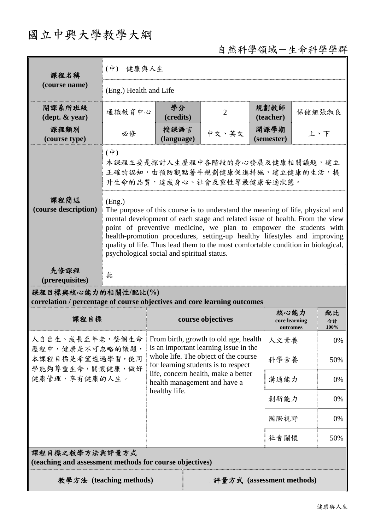## 國立中興大學教學大綱

自然科學領域-生命科學學群

| 課程名稱<br>(course name)                                                                           | 健康與人生<br>$(\phi)$                                                                                                                                                                                                                                                                                                                                                                                                                                          |                                                                                                                                                                                                                                                       |                |                                   |        |                  |  |
|-------------------------------------------------------------------------------------------------|------------------------------------------------------------------------------------------------------------------------------------------------------------------------------------------------------------------------------------------------------------------------------------------------------------------------------------------------------------------------------------------------------------------------------------------------------------|-------------------------------------------------------------------------------------------------------------------------------------------------------------------------------------------------------------------------------------------------------|----------------|-----------------------------------|--------|------------------|--|
|                                                                                                 | (Eng.) Health and Life                                                                                                                                                                                                                                                                                                                                                                                                                                     |                                                                                                                                                                                                                                                       |                |                                   |        |                  |  |
| 開課系所班級<br>$(\text{dept.} \& \text{ year})$                                                      | 通識教育中心                                                                                                                                                                                                                                                                                                                                                                                                                                                     | 學分<br>(credits)                                                                                                                                                                                                                                       | $\overline{2}$ | 規劃教師<br>(teacher)                 | 保健組張淑良 |                  |  |
| 課程類別<br>(course type)                                                                           | 必修                                                                                                                                                                                                                                                                                                                                                                                                                                                         | 授課語言<br>(language)                                                                                                                                                                                                                                    | 中文、英文          | 開課學期<br>(semester)                | 上、下    |                  |  |
|                                                                                                 | $(\dagger)$<br>本課程主要是探討人生歷程中各階段的身心發展及健康相關議題,建立<br>正確的認知,由預防觀點著手規劃健康促進措施,建立健康的生活,提<br>升生命的品質,達成身心、社會及靈性等最健康安適狀態。                                                                                                                                                                                                                                                                                                                                            |                                                                                                                                                                                                                                                       |                |                                   |        |                  |  |
| 課程簡述<br>(course description)                                                                    | (Eng.)<br>The purpose of this course is to understand the meaning of life, physical and<br>mental development of each stage and related issue of health. From the view<br>point of preventive medicine, we plan to empower the students with<br>health-promotion procedures, setting-up healthy lifestyles and improving<br>quality of life. Thus lead them to the most comfortable condition in biological,<br>psychological social and spiritual status. |                                                                                                                                                                                                                                                       |                |                                   |        |                  |  |
| 先修課程<br>(prerequisites)                                                                         | 無                                                                                                                                                                                                                                                                                                                                                                                                                                                          |                                                                                                                                                                                                                                                       |                |                                   |        |                  |  |
| 課程目標與核心能力的相關性/配比(%)<br>correlation / percentage of course objectives and core learning outcomes |                                                                                                                                                                                                                                                                                                                                                                                                                                                            |                                                                                                                                                                                                                                                       |                |                                   |        |                  |  |
| 課程目標                                                                                            |                                                                                                                                                                                                                                                                                                                                                                                                                                                            | course objectives                                                                                                                                                                                                                                     |                | 核心能力<br>core learning<br>outcomes |        | 配比<br>合計<br>100% |  |
| 人自出生、成長至年老,整個生命<br>歷程中,健康是不可忽略的議題,<br>本課程目標是希望透過學習,使同<br>學能夠尊重生命,關懷健康,做好<br>健康管理,享有健康的人生。       |                                                                                                                                                                                                                                                                                                                                                                                                                                                            | From birth, growth to old age, health<br>is an important learning issue in the<br>whole life. The object of the course<br>for learning students is to respect<br>life, concern health, make a better<br>health management and have a<br>healthy life. |                | 人文素養                              |        | 0%               |  |
|                                                                                                 |                                                                                                                                                                                                                                                                                                                                                                                                                                                            |                                                                                                                                                                                                                                                       |                | 科學素養                              |        | 50%              |  |
|                                                                                                 |                                                                                                                                                                                                                                                                                                                                                                                                                                                            |                                                                                                                                                                                                                                                       |                | 溝通能力                              |        | 0%               |  |
|                                                                                                 |                                                                                                                                                                                                                                                                                                                                                                                                                                                            |                                                                                                                                                                                                                                                       |                | 創新能力                              |        | 0%               |  |
|                                                                                                 |                                                                                                                                                                                                                                                                                                                                                                                                                                                            |                                                                                                                                                                                                                                                       |                | 國際視野                              |        | 0%               |  |
|                                                                                                 |                                                                                                                                                                                                                                                                                                                                                                                                                                                            |                                                                                                                                                                                                                                                       | 社會關懷           |                                   | 50%    |                  |  |
| 課程目標之教學方法與評量方式<br>(teaching and assessment methods for course objectives)                       |                                                                                                                                                                                                                                                                                                                                                                                                                                                            |                                                                                                                                                                                                                                                       |                |                                   |        |                  |  |
| 教學方法 (teaching methods)<br>評量方式 (assessment methods)                                            |                                                                                                                                                                                                                                                                                                                                                                                                                                                            |                                                                                                                                                                                                                                                       |                |                                   |        |                  |  |

IJ